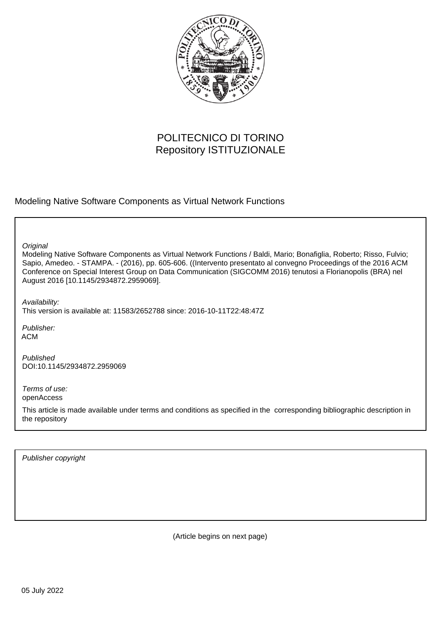

# POLITECNICO DI TORINO Repository ISTITUZIONALE

Modeling Native Software Components as Virtual Network Functions

**Original** 

Modeling Native Software Components as Virtual Network Functions / Baldi, Mario; Bonafiglia, Roberto; Risso, Fulvio; Sapio, Amedeo. - STAMPA. - (2016), pp. 605-606. ((Intervento presentato al convegno Proceedings of the 2016 ACM Conference on Special Interest Group on Data Communication (SIGCOMM 2016) tenutosi a Florianopolis (BRA) nel August 2016 [10.1145/2934872.2959069].

Availability: This version is available at: 11583/2652788 since: 2016-10-11T22:48:47Z

Publisher: ACM

Published DOI:10.1145/2934872.2959069

Terms of use: openAccess

This article is made available under terms and conditions as specified in the corresponding bibliographic description in the repository

Publisher copyright

(Article begins on next page)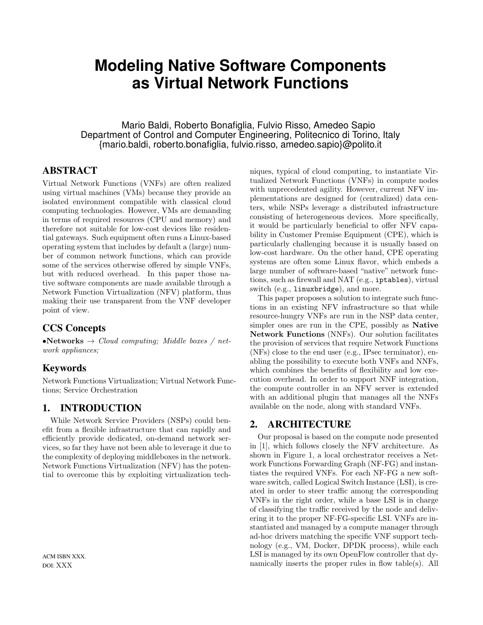# **Modeling Native Software Components as Virtual Network Functions**

Mario Baldi, Roberto Bonafiglia, Fulvio Risso, Amedeo Sapio Department of Control and Computer Engineering, Politecnico di Torino, Italy {mario.baldi, roberto.bonafiglia, fulvio.risso, amedeo.sapio}@polito.it

# ABSTRACT

Virtual Network Functions (VNFs) are often realized using virtual machines (VMs) because they provide an isolated environment compatible with classical cloud computing technologies. However, VMs are demanding in terms of required resources (CPU and memory) and therefore not suitable for low-cost devices like residential gateways. Such equipment often runs a Linux-based operating system that includes by default a (large) number of common network functions, which can provide some of the services otherwise offered by simple VNFs, but with reduced overhead. In this paper those native software components are made available through a Network Function Virtualization (NFV) platform, thus making their use transparent from the VNF developer point of view.

## CCS Concepts

•Networks  $\rightarrow$  Cloud computing; Middle boxes / network appliances;

# Keywords

Network Functions Virtualization; Virtual Network Functions; Service Orchestration

# 1. INTRODUCTION

While Network Service Providers (NSPs) could benefit from a flexible infrastructure that can rapidly and efficiently provide dedicated, on-demand network services, so far they have not been able to leverage it due to the complexity of deploying middleboxes in the network. Network Functions Virtualization (NFV) has the potential to overcome this by exploiting virtualization techniques, typical of cloud computing, to instantiate Virtualized Network Functions (VNFs) in compute nodes with unprecedented agility. However, current NFV implementations are designed for (centralized) data centers, while NSPs leverage a distributed infrastructure consisting of heterogeneous devices. More specifically, it would be particularly beneficial to offer NFV capability in Customer Premise Equipment (CPE), which is particularly challenging because it is usually based on low-cost hardware. On the other hand, CPE operating systems are often some Linux flavor, which embeds a large number of software-based "native" network functions, such as firewall and NAT (e.g., iptables), virtual switch (e.g., linuxbridge), and more.

This paper proposes a solution to integrate such functions in an existing NFV infrastructure so that while resource-hungry VNFs are run in the NSP data center, simpler ones are run in the CPE, possibly as Native Network Functions (NNFs). Our solution facilitates the provision of services that require Network Functions (NFs) close to the end user (e.g., IPsec terminator), enabling the possibility to execute both VNFs and NNFs, which combines the benefits of flexibility and low execution overhead. In order to support NNF integration, the compute controller in an NFV server is extended with an additional plugin that manages all the NNFs available on the node, along with standard VNFs.

## 2. ARCHITECTURE

Our proposal is based on the compute node presented in [1], which follows closely the NFV architecture. As shown in Figure 1, a local orchestrator receives a Network Functions Forwarding Graph (NF-FG) and instantiates the required VNFs. For each NF-FG a new software switch, called Logical Switch Instance (LSI), is created in order to steer traffic among the corresponding VNFs in the right order, while a base LSI is in charge of classifying the traffic received by the node and delivering it to the proper NF-FG-specific LSI. VNFs are instantiated and managed by a compute manager through ad-hoc drivers matching the specific VNF support technology (e.g., VM, Docker, DPDK process), while each LSI is managed by its own OpenFlow controller that dynamically inserts the proper rules in flow table(s). All